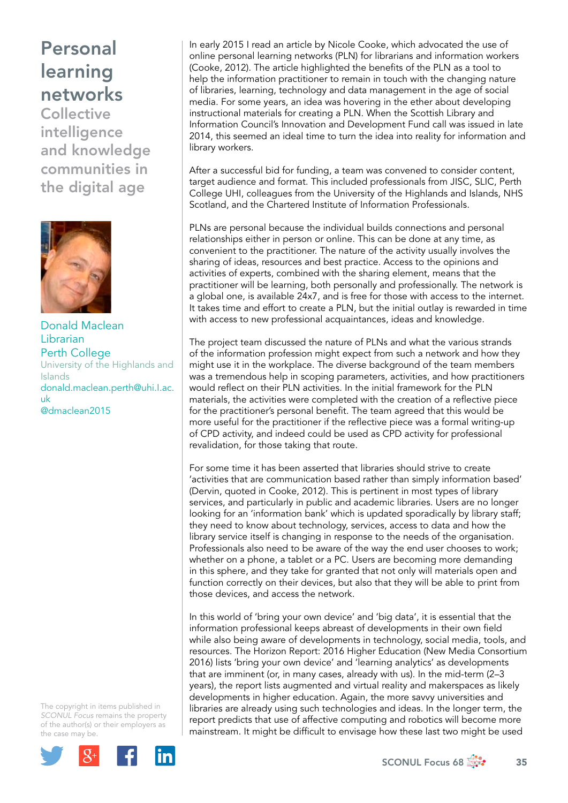## Personal learning networks

**Collective** intelligence and knowledge communities in the digital age



Donald Maclean Librarian Perth College University of the Highlands and Islands [donald.maclean.perth@uhi.I.ac.](mailto:donald.maclean.perth@uhi.ac.uk) [uk](mailto:donald.maclean.perth@uhi.ac.uk) @dmaclean2015

The copyright in items published in *SCONUL Focus* remains the property of the author(s) or their employers as the case may be.



In early 2015 I read an article by Nicole Cooke, which advocated the use of online personal learning networks (PLN) for librarians and information workers (Cooke, 2012). The article highlighted the benefits of the PLN as a tool to help the information practitioner to remain in touch with the changing nature of libraries, learning, technology and data management in the age of social media. For some years, an idea was hovering in the ether about developing instructional materials for creating a PLN. When the Scottish Library and Information Council's Innovation and Development Fund call was issued in late 2014, this seemed an ideal time to turn the idea into reality for information and library workers.

After a successful bid for funding, a team was convened to consider content, target audience and format. This included professionals from JISC, SLIC, Perth College UHI, colleagues from the University of the Highlands and Islands, NHS Scotland, and the Chartered Institute of Information Professionals.

PLNs are personal because the individual builds connections and personal relationships either in person or online. This can be done at any time, as convenient to the practitioner. The nature of the activity usually involves the sharing of ideas, resources and best practice. Access to the opinions and activities of experts, combined with the sharing element, means that the practitioner will be learning, both personally and professionally. The network is a global one, is available 24x7, and is free for those with access to the internet. It takes time and effort to create a PLN, but the initial outlay is rewarded in time with access to new professional acquaintances, ideas and knowledge.

The project team discussed the nature of PLNs and what the various strands of the information profession might expect from such a network and how they might use it in the workplace. The diverse background of the team members was a tremendous help in scoping parameters, activities, and how practitioners would reflect on their PLN activities. In the initial framework for the PLN materials, the activities were completed with the creation of a reflective piece for the practitioner's personal benefit. The team agreed that this would be more useful for the practitioner if the reflective piece was a formal writing-up of CPD activity, and indeed could be used as CPD activity for professional revalidation, for those taking that route.

For some time it has been asserted that libraries should strive to create 'activities that are communication based rather than simply information based' (Dervin, quoted in Cooke, 2012). This is pertinent in most types of library services, and particularly in public and academic libraries. Users are no longer looking for an 'information bank' which is updated sporadically by library staff; they need to know about technology, services, access to data and how the library service itself is changing in response to the needs of the organisation. Professionals also need to be aware of the way the end user chooses to work; whether on a phone, a tablet or a PC. Users are becoming more demanding in this sphere, and they take for granted that not only will materials open and function correctly on their devices, but also that they will be able to print from those devices, and access the network.

In this world of 'bring your own device' and 'big data', it is essential that the information professional keeps abreast of developments in their own field while also being aware of developments in technology, social media, tools, and resources. The Horizon Report: 2016 Higher Education (New Media Consortium 2016) lists 'bring your own device' and 'learning analytics' as developments that are imminent (or, in many cases, already with us). In the mid-term (2–3 years), the report lists augmented and virtual reality and makerspaces as likely developments in higher education. Again, the more savvy universities and libraries are already using such technologies and ideas. In the longer term, the report predicts that use of affective computing and robotics will become more mainstream. It might be difficult to envisage how these last two might be used